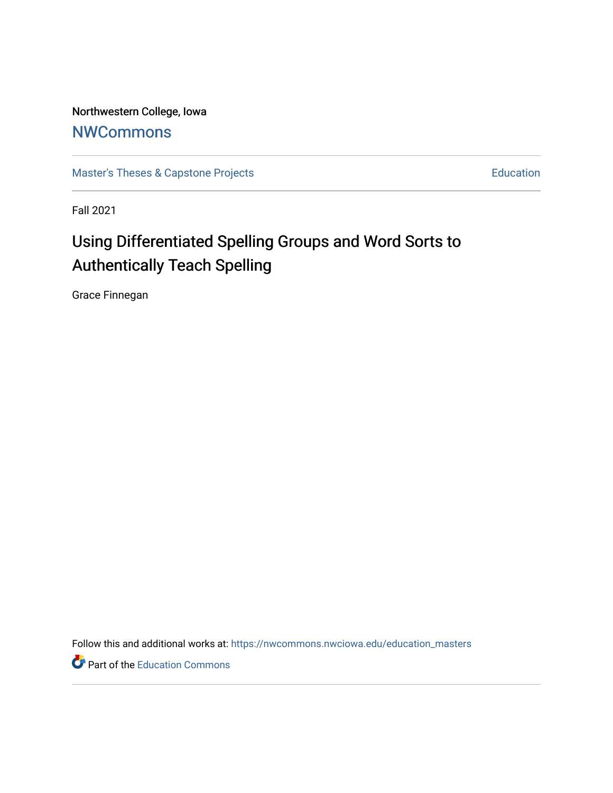Northwestern College, Iowa **[NWCommons](https://nwcommons.nwciowa.edu/)** 

[Master's Theses & Capstone Projects](https://nwcommons.nwciowa.edu/education_masters) **Education** Education

Fall 2021

# Using Differentiated Spelling Groups and Word Sorts to Authentically Teach Spelling

Grace Finnegan

Follow this and additional works at: [https://nwcommons.nwciowa.edu/education\\_masters](https://nwcommons.nwciowa.edu/education_masters?utm_source=nwcommons.nwciowa.edu%2Feducation_masters%2F360&utm_medium=PDF&utm_campaign=PDFCoverPages)

Part of the [Education Commons](http://network.bepress.com/hgg/discipline/784?utm_source=nwcommons.nwciowa.edu%2Feducation_masters%2F360&utm_medium=PDF&utm_campaign=PDFCoverPages)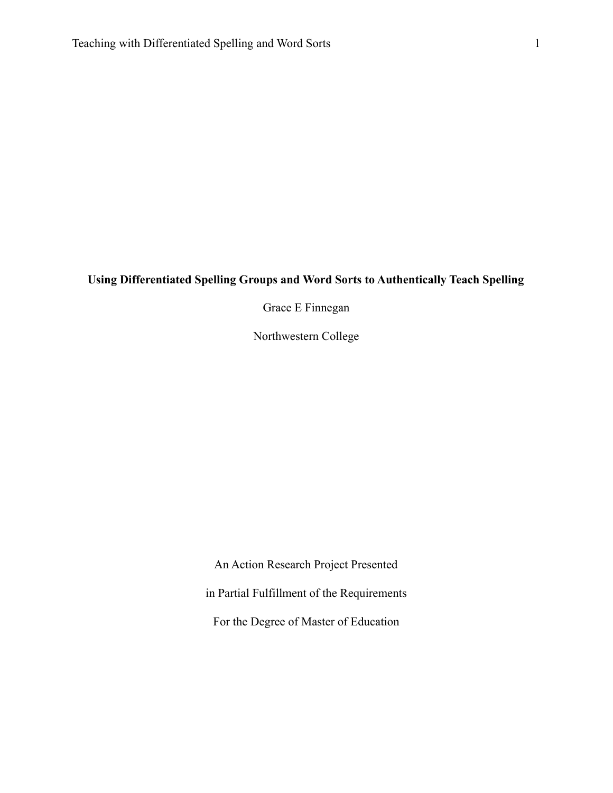## **Using Differentiated Spelling Groups and Word Sorts to Authentically Teach Spelling**

Grace E Finnegan

Northwestern College

An Action Research Project Presented in Partial Fulfillment of the Requirements For the Degree of Master of Education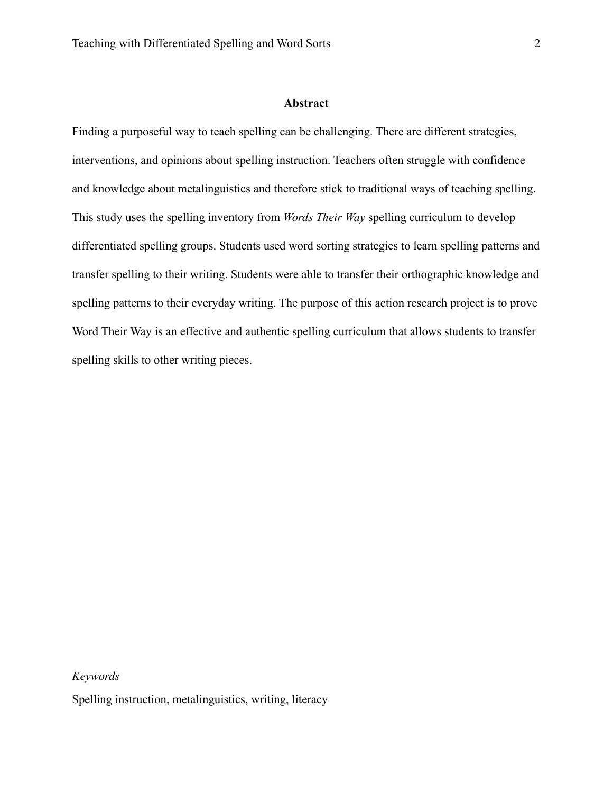#### **Abstract**

<span id="page-2-0"></span>Finding a purposeful way to teach spelling can be challenging. There are different strategies, interventions, and opinions about spelling instruction. Teachers often struggle with confidence and knowledge about metalinguistics and therefore stick to traditional ways of teaching spelling. This study uses the spelling inventory from *Words Their Way* spelling curriculum to develop differentiated spelling groups. Students used word sorting strategies to learn spelling patterns and transfer spelling to their writing. Students were able to transfer their orthographic knowledge and spelling patterns to their everyday writing. The purpose of this action research project is to prove Word Their Way is an effective and authentic spelling curriculum that allows students to transfer spelling skills to other writing pieces.

#### *Keywords*

Spelling instruction, metalinguistics, writing, literacy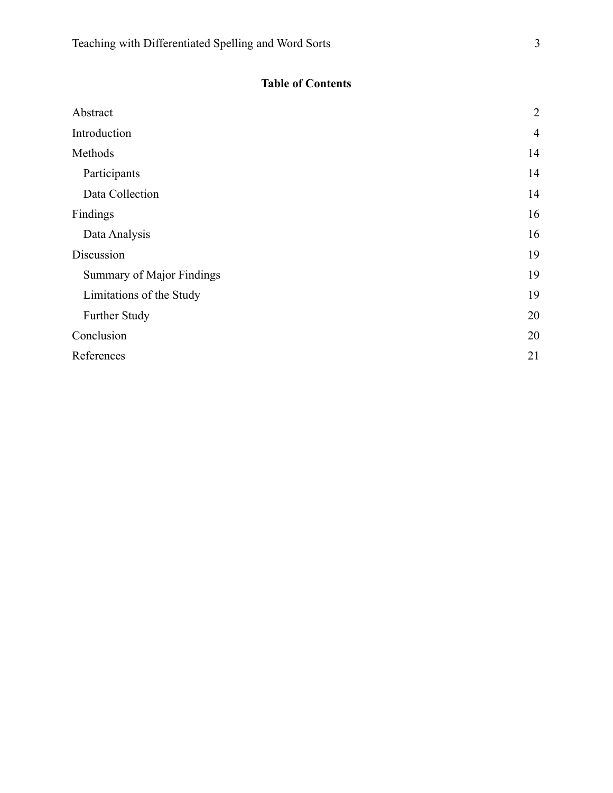# **Table of Contents**

| Abstract                  | $\overline{2}$ |
|---------------------------|----------------|
|                           |                |
| Introduction              | $\overline{4}$ |
| Methods                   | 14             |
| Participants              | 14             |
| Data Collection           | 14             |
| Findings                  | 16             |
| Data Analysis             | 16             |
| Discussion                | 19             |
| Summary of Major Findings | 19             |
| Limitations of the Study  | 19             |
| Further Study             | 20             |
| Conclusion                | 20             |
| References                | 21             |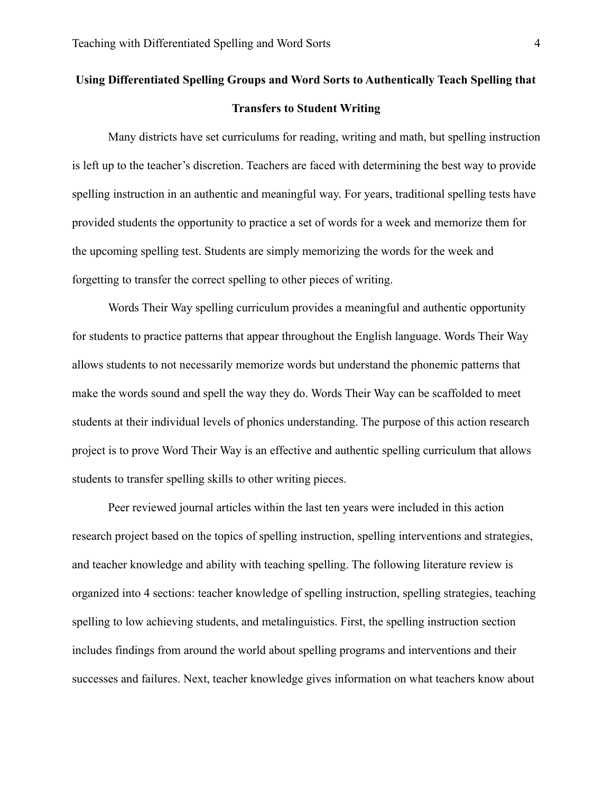# **Using Differentiated Spelling Groups and Word Sorts to Authentically Teach Spelling that Transfers to Student Writing**

Many districts have set curriculums for reading, writing and math, but spelling instruction is left up to the teacher's discretion. Teachers are faced with determining the best way to provide spelling instruction in an authentic and meaningful way. For years, traditional spelling tests have provided students the opportunity to practice a set of words for a week and memorize them for the upcoming spelling test. Students are simply memorizing the words for the week and forgetting to transfer the correct spelling to other pieces of writing.

Words Their Way spelling curriculum provides a meaningful and authentic opportunity for students to practice patterns that appear throughout the English language. Words Their Way allows students to not necessarily memorize words but understand the phonemic patterns that make the words sound and spell the way they do. Words Their Way can be scaffolded to meet students at their individual levels of phonics understanding. The purpose of this action research project is to prove Word Their Way is an effective and authentic spelling curriculum that allows students to transfer spelling skills to other writing pieces.

Peer reviewed journal articles within the last ten years were included in this action research project based on the topics of spelling instruction, spelling interventions and strategies, and teacher knowledge and ability with teaching spelling. The following literature review is organized into 4 sections: teacher knowledge of spelling instruction, spelling strategies, teaching spelling to low achieving students, and metalinguistics. First, the spelling instruction section includes findings from around the world about spelling programs and interventions and their successes and failures. Next, teacher knowledge gives information on what teachers know about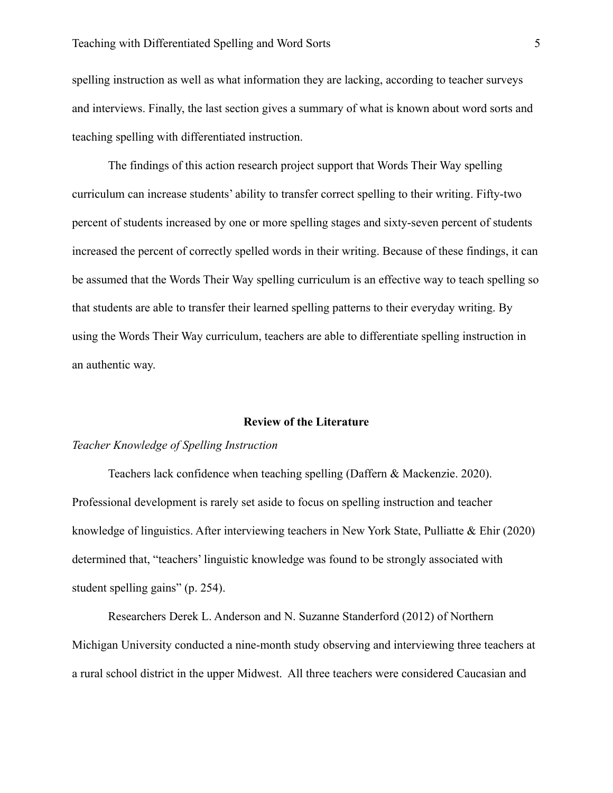spelling instruction as well as what information they are lacking, according to teacher surveys and interviews. Finally, the last section gives a summary of what is known about word sorts and teaching spelling with differentiated instruction.

The findings of this action research project support that Words Their Way spelling curriculum can increase students' ability to transfer correct spelling to their writing. Fifty-two percent of students increased by one or more spelling stages and sixty-seven percent of students increased the percent of correctly spelled words in their writing. Because of these findings, it can be assumed that the Words Their Way spelling curriculum is an effective way to teach spelling so that students are able to transfer their learned spelling patterns to their everyday writing. By using the Words Their Way curriculum, teachers are able to differentiate spelling instruction in an authentic way.

#### **Review of the Literature**

#### *Teacher Knowledge of Spelling Instruction*

Teachers lack confidence when teaching spelling (Daffern & Mackenzie. 2020). Professional development is rarely set aside to focus on spelling instruction and teacher knowledge of linguistics. After interviewing teachers in New York State, Pulliatte & Ehir (2020) determined that, "teachers' linguistic knowledge was found to be strongly associated with student spelling gains" (p. 254).

Researchers Derek L. Anderson and N. Suzanne Standerford (2012) of Northern Michigan University conducted a nine-month study observing and interviewing three teachers at a rural school district in the upper Midwest. All three teachers were considered Caucasian and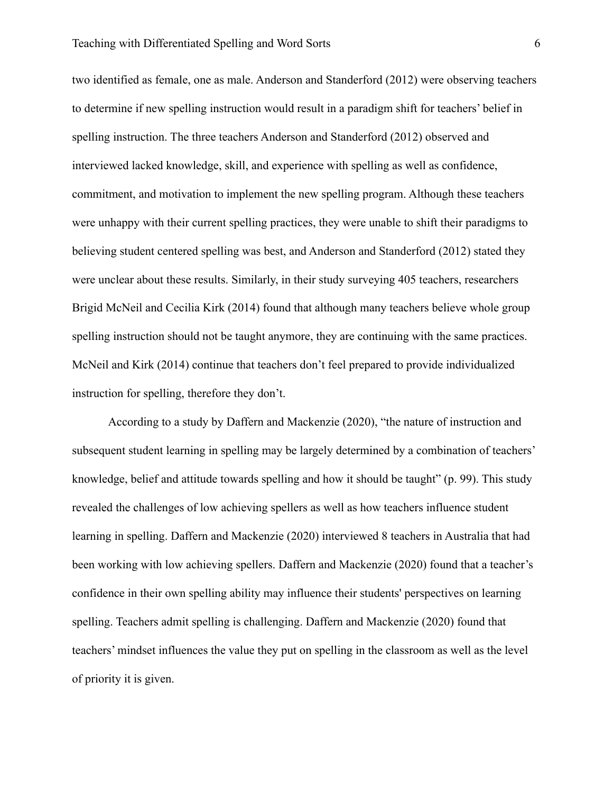two identified as female, one as male. Anderson and Standerford (2012) were observing teachers to determine if new spelling instruction would result in a paradigm shift for teachers' belief in spelling instruction. The three teachers Anderson and Standerford (2012) observed and interviewed lacked knowledge, skill, and experience with spelling as well as confidence, commitment, and motivation to implement the new spelling program. Although these teachers were unhappy with their current spelling practices, they were unable to shift their paradigms to believing student centered spelling was best, and Anderson and Standerford (2012) stated they were unclear about these results. Similarly, in their study surveying 405 teachers, researchers Brigid McNeil and Cecilia Kirk (2014) found that although many teachers believe whole group spelling instruction should not be taught anymore, they are continuing with the same practices. McNeil and Kirk (2014) continue that teachers don't feel prepared to provide individualized instruction for spelling, therefore they don't.

According to a study by Daffern and Mackenzie (2020), "the nature of instruction and subsequent student learning in spelling may be largely determined by a combination of teachers' knowledge, belief and attitude towards spelling and how it should be taught" (p. 99). This study revealed the challenges of low achieving spellers as well as how teachers influence student learning in spelling. Daffern and Mackenzie (2020) interviewed 8 teachers in Australia that had been working with low achieving spellers. Daffern and Mackenzie (2020) found that a teacher's confidence in their own spelling ability may influence their students' perspectives on learning spelling. Teachers admit spelling is challenging. Daffern and Mackenzie (2020) found that teachers' mindset influences the value they put on spelling in the classroom as well as the level of priority it is given.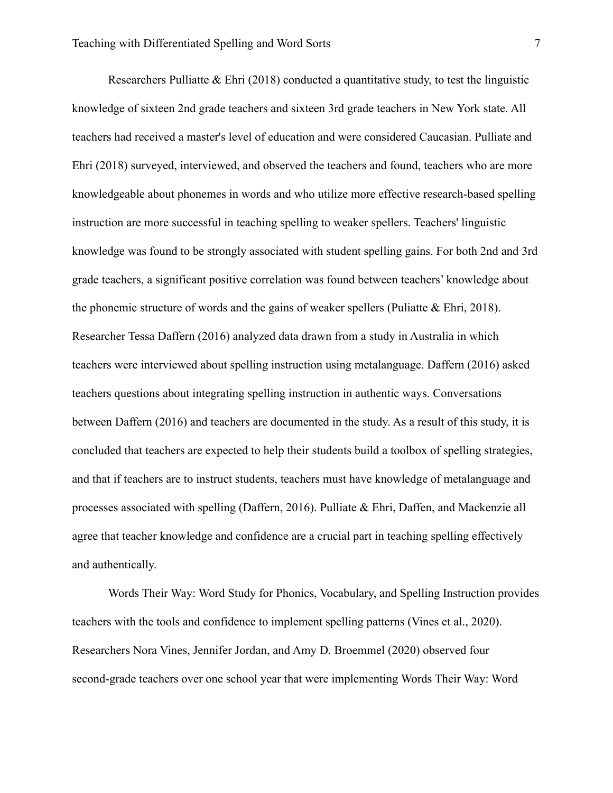Researchers Pulliatte & Ehri (2018) conducted a quantitative study, to test the linguistic knowledge of sixteen 2nd grade teachers and sixteen 3rd grade teachers in New York state. All teachers had received a master's level of education and were considered Caucasian. Pulliate and Ehri (2018) surveyed, interviewed, and observed the teachers and found, teachers who are more knowledgeable about phonemes in words and who utilize more effective research-based spelling instruction are more successful in teaching spelling to weaker spellers. Teachers' linguistic knowledge was found to be strongly associated with student spelling gains. For both 2nd and 3rd grade teachers, a significant positive correlation was found between teachers' knowledge about the phonemic structure of words and the gains of weaker spellers (Puliatte & Ehri, 2018). Researcher Tessa Daffern (2016) analyzed data drawn from a study in Australia in which teachers were interviewed about spelling instruction using metalanguage. Daffern (2016) asked teachers questions about integrating spelling instruction in authentic ways. Conversations between Daffern (2016) and teachers are documented in the study. As a result of this study, it is concluded that teachers are expected to help their students build a toolbox of spelling strategies, and that if teachers are to instruct students, teachers must have knowledge of metalanguage and processes associated with spelling (Daffern, 2016). Pulliate & Ehri, Daffen, and Mackenzie all agree that teacher knowledge and confidence are a crucial part in teaching spelling effectively and authentically.

Words Their Way: Word Study for Phonics, Vocabulary, and Spelling Instruction provides teachers with the tools and confidence to implement spelling patterns (Vines et al., 2020). Researchers Nora Vines, Jennifer Jordan, and Amy D. Broemmel (2020) observed four second-grade teachers over one school year that were implementing Words Their Way: Word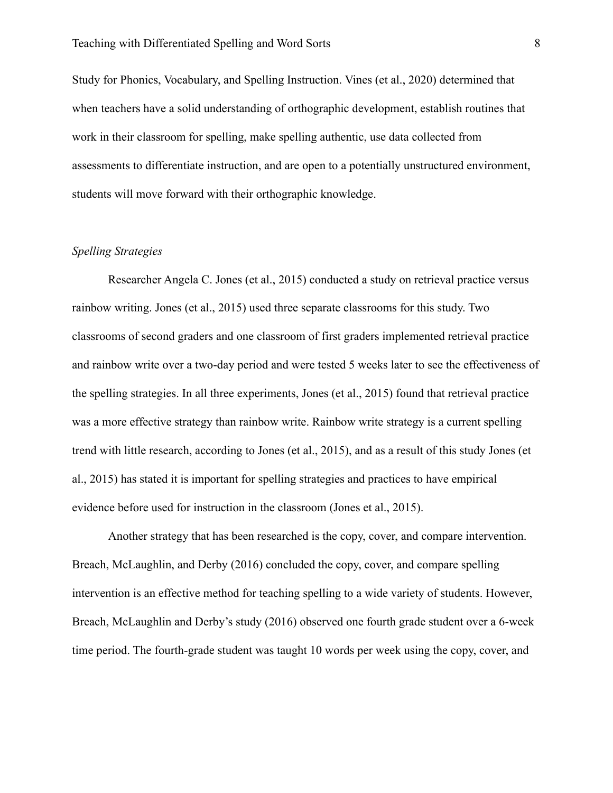Study for Phonics, Vocabulary, and Spelling Instruction. Vines (et al., 2020) determined that when teachers have a solid understanding of orthographic development, establish routines that work in their classroom for spelling, make spelling authentic, use data collected from assessments to differentiate instruction, and are open to a potentially unstructured environment, students will move forward with their orthographic knowledge.

## *Spelling Strategies*

Researcher Angela C. Jones (et al., 2015) conducted a study on retrieval practice versus rainbow writing. Jones (et al., 2015) used three separate classrooms for this study. Two classrooms of second graders and one classroom of first graders implemented retrieval practice and rainbow write over a two-day period and were tested 5 weeks later to see the effectiveness of the spelling strategies. In all three experiments, Jones (et al., 2015) found that retrieval practice was a more effective strategy than rainbow write. Rainbow write strategy is a current spelling trend with little research, according to Jones (et al., 2015), and as a result of this study Jones (et al., 2015) has stated it is important for spelling strategies and practices to have empirical evidence before used for instruction in the classroom (Jones et al., 2015).

Another strategy that has been researched is the copy, cover, and compare intervention. Breach, McLaughlin, and Derby (2016) concluded the copy, cover, and compare spelling intervention is an effective method for teaching spelling to a wide variety of students. However, Breach, McLaughlin and Derby's study (2016) observed one fourth grade student over a 6-week time period. The fourth-grade student was taught 10 words per week using the copy, cover, and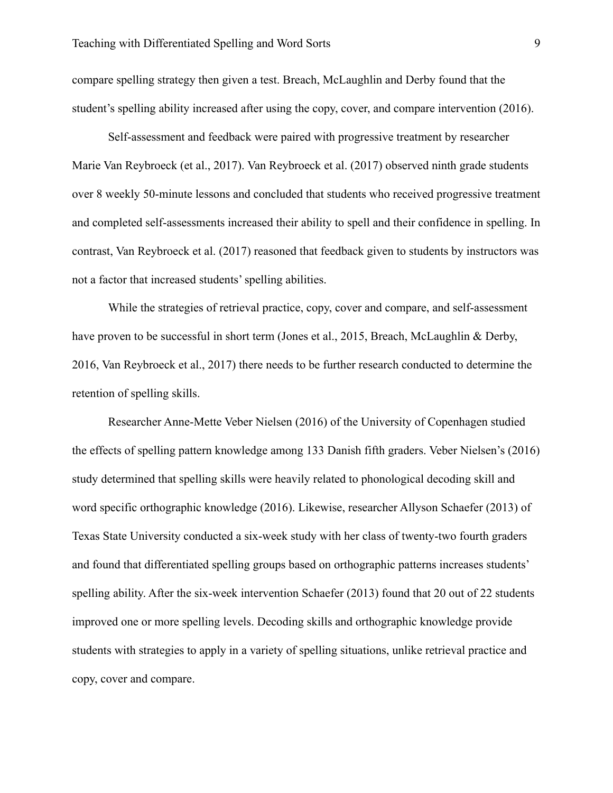compare spelling strategy then given a test. Breach, McLaughlin and Derby found that the student's spelling ability increased after using the copy, cover, and compare intervention (2016).

Self-assessment and feedback were paired with progressive treatment by researcher Marie Van Reybroeck (et al., 2017). Van Reybroeck et al. (2017) observed ninth grade students over 8 weekly 50-minute lessons and concluded that students who received progressive treatment and completed self-assessments increased their ability to spell and their confidence in spelling. In contrast, Van Reybroeck et al. (2017) reasoned that feedback given to students by instructors was not a factor that increased students' spelling abilities.

While the strategies of retrieval practice, copy, cover and compare, and self-assessment have proven to be successful in short term (Jones et al., 2015, Breach, McLaughlin & Derby, 2016, Van Reybroeck et al., 2017) there needs to be further research conducted to determine the retention of spelling skills.

Researcher Anne-Mette Veber Nielsen (2016) of the University of Copenhagen studied the effects of spelling pattern knowledge among 133 Danish fifth graders. Veber Nielsen's (2016) study determined that spelling skills were heavily related to phonological decoding skill and word specific orthographic knowledge (2016). Likewise, researcher Allyson Schaefer (2013) of Texas State University conducted a six-week study with her class of twenty-two fourth graders and found that differentiated spelling groups based on orthographic patterns increases students' spelling ability. After the six-week intervention Schaefer (2013) found that 20 out of 22 students improved one or more spelling levels. Decoding skills and orthographic knowledge provide students with strategies to apply in a variety of spelling situations, unlike retrieval practice and copy, cover and compare.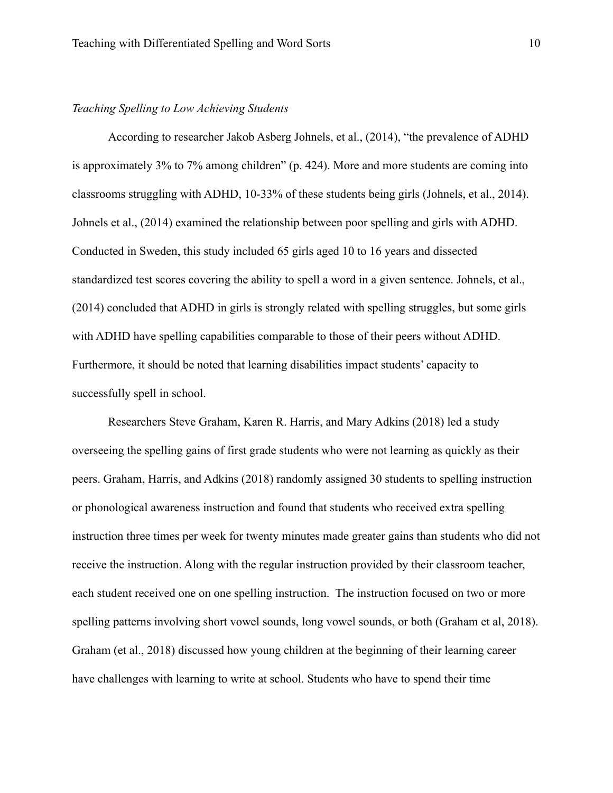### *Teaching Spelling to Low Achieving Students*

According to researcher Jakob Asberg Johnels, et al., (2014), "the prevalence of ADHD is approximately 3% to 7% among children" (p. 424). More and more students are coming into classrooms struggling with ADHD, 10-33% of these students being girls (Johnels, et al., 2014). Johnels et al., (2014) examined the relationship between poor spelling and girls with ADHD. Conducted in Sweden, this study included 65 girls aged 10 to 16 years and dissected standardized test scores covering the ability to spell a word in a given sentence. Johnels, et al., (2014) concluded that ADHD in girls is strongly related with spelling struggles, but some girls with ADHD have spelling capabilities comparable to those of their peers without ADHD. Furthermore, it should be noted that learning disabilities impact students' capacity to successfully spell in school.

Researchers Steve Graham, Karen R. Harris, and Mary Adkins (2018) led a study overseeing the spelling gains of first grade students who were not learning as quickly as their peers. Graham, Harris, and Adkins (2018) randomly assigned 30 students to spelling instruction or phonological awareness instruction and found that students who received extra spelling instruction three times per week for twenty minutes made greater gains than students who did not receive the instruction. Along with the regular instruction provided by their classroom teacher, each student received one on one spelling instruction. The instruction focused on two or more spelling patterns involving short vowel sounds, long vowel sounds, or both (Graham et al, 2018). Graham (et al., 2018) discussed how young children at the beginning of their learning career have challenges with learning to write at school. Students who have to spend their time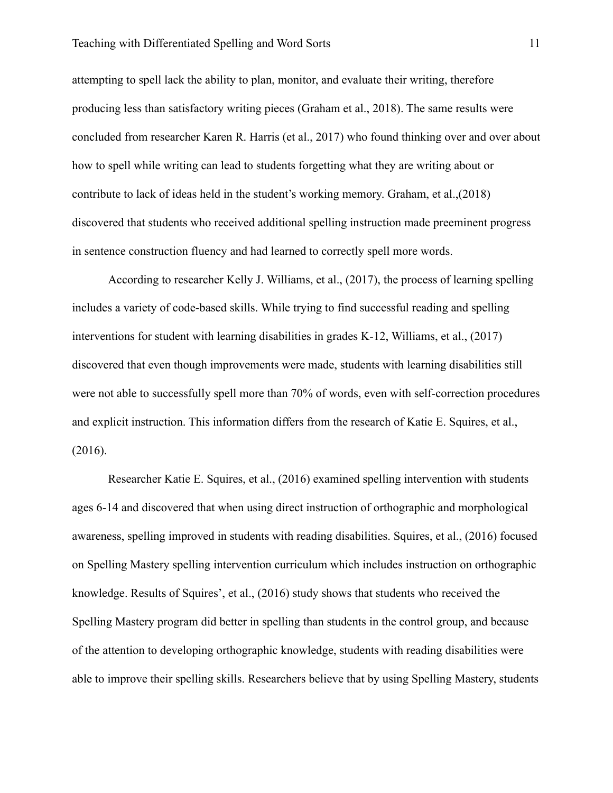#### Teaching with Differentiated Spelling and Word Sorts 11

attempting to spell lack the ability to plan, monitor, and evaluate their writing, therefore producing less than satisfactory writing pieces (Graham et al., 2018). The same results were concluded from researcher Karen R. Harris (et al., 2017) who found thinking over and over about how to spell while writing can lead to students forgetting what they are writing about or contribute to lack of ideas held in the student's working memory. Graham, et al.,(2018) discovered that students who received additional spelling instruction made preeminent progress in sentence construction fluency and had learned to correctly spell more words.

According to researcher Kelly J. Williams, et al., (2017), the process of learning spelling includes a variety of code-based skills. While trying to find successful reading and spelling interventions for student with learning disabilities in grades K-12, Williams, et al., (2017) discovered that even though improvements were made, students with learning disabilities still were not able to successfully spell more than 70% of words, even with self-correction procedures and explicit instruction. This information differs from the research of Katie E. Squires, et al., (2016).

Researcher Katie E. Squires, et al., (2016) examined spelling intervention with students ages 6-14 and discovered that when using direct instruction of orthographic and morphological awareness, spelling improved in students with reading disabilities. Squires, et al., (2016) focused on Spelling Mastery spelling intervention curriculum which includes instruction on orthographic knowledge. Results of Squires', et al., (2016) study shows that students who received the Spelling Mastery program did better in spelling than students in the control group, and because of the attention to developing orthographic knowledge, students with reading disabilities were able to improve their spelling skills. Researchers believe that by using Spelling Mastery, students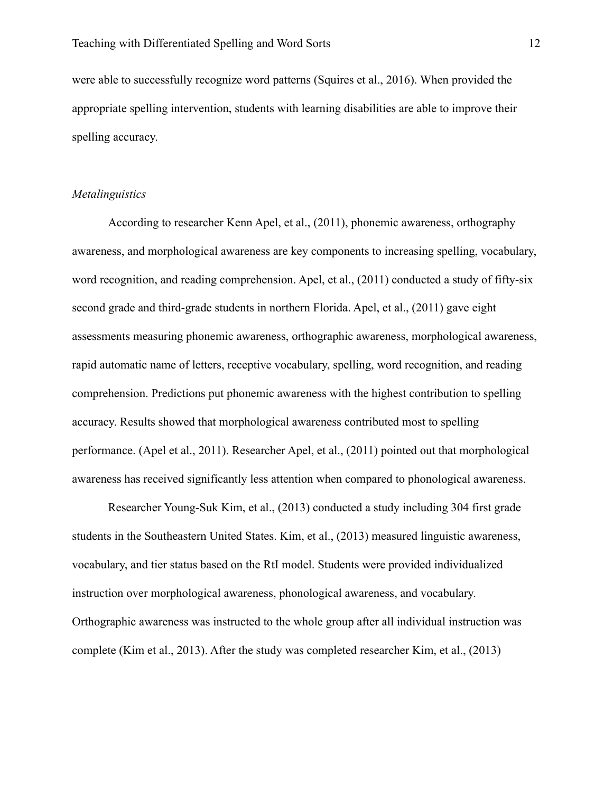were able to successfully recognize word patterns (Squires et al., 2016). When provided the appropriate spelling intervention, students with learning disabilities are able to improve their spelling accuracy.

## *Metalinguistics*

According to researcher Kenn Apel, et al., (2011), phonemic awareness, orthography awareness, and morphological awareness are key components to increasing spelling, vocabulary, word recognition, and reading comprehension. Apel, et al., (2011) conducted a study of fifty-six second grade and third-grade students in northern Florida. Apel, et al., (2011) gave eight assessments measuring phonemic awareness, orthographic awareness, morphological awareness, rapid automatic name of letters, receptive vocabulary, spelling, word recognition, and reading comprehension. Predictions put phonemic awareness with the highest contribution to spelling accuracy. Results showed that morphological awareness contributed most to spelling performance. (Apel et al., 2011). Researcher Apel, et al., (2011) pointed out that morphological awareness has received significantly less attention when compared to phonological awareness.

Researcher Young-Suk Kim, et al., (2013) conducted a study including 304 first grade students in the Southeastern United States. Kim, et al., (2013) measured linguistic awareness, vocabulary, and tier status based on the RtI model. Students were provided individualized instruction over morphological awareness, phonological awareness, and vocabulary. Orthographic awareness was instructed to the whole group after all individual instruction was complete (Kim et al., 2013). After the study was completed researcher Kim, et al., (2013)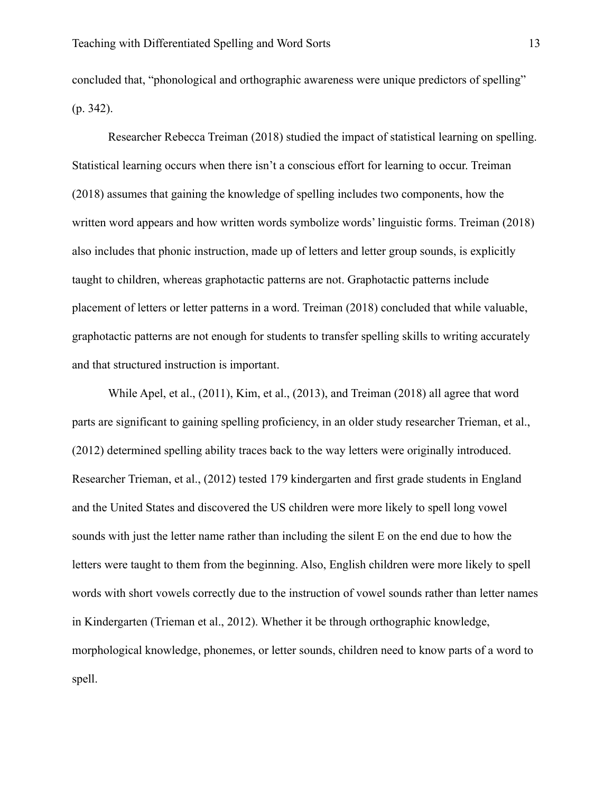concluded that, "phonological and orthographic awareness were unique predictors of spelling" (p. 342).

Researcher Rebecca Treiman (2018) studied the impact of statistical learning on spelling. Statistical learning occurs when there isn't a conscious effort for learning to occur. Treiman (2018) assumes that gaining the knowledge of spelling includes two components, how the written word appears and how written words symbolize words' linguistic forms. Treiman (2018) also includes that phonic instruction, made up of letters and letter group sounds, is explicitly taught to children, whereas graphotactic patterns are not. Graphotactic patterns include placement of letters or letter patterns in a word. Treiman (2018) concluded that while valuable, graphotactic patterns are not enough for students to transfer spelling skills to writing accurately and that structured instruction is important.

While Apel, et al., (2011), Kim, et al., (2013), and Treiman (2018) all agree that word parts are significant to gaining spelling proficiency, in an older study researcher Trieman, et al., (2012) determined spelling ability traces back to the way letters were originally introduced. Researcher Trieman, et al., (2012) tested 179 kindergarten and first grade students in England and the United States and discovered the US children were more likely to spell long vowel sounds with just the letter name rather than including the silent E on the end due to how the letters were taught to them from the beginning. Also, English children were more likely to spell words with short vowels correctly due to the instruction of vowel sounds rather than letter names in Kindergarten (Trieman et al., 2012). Whether it be through orthographic knowledge, morphological knowledge, phonemes, or letter sounds, children need to know parts of a word to spell.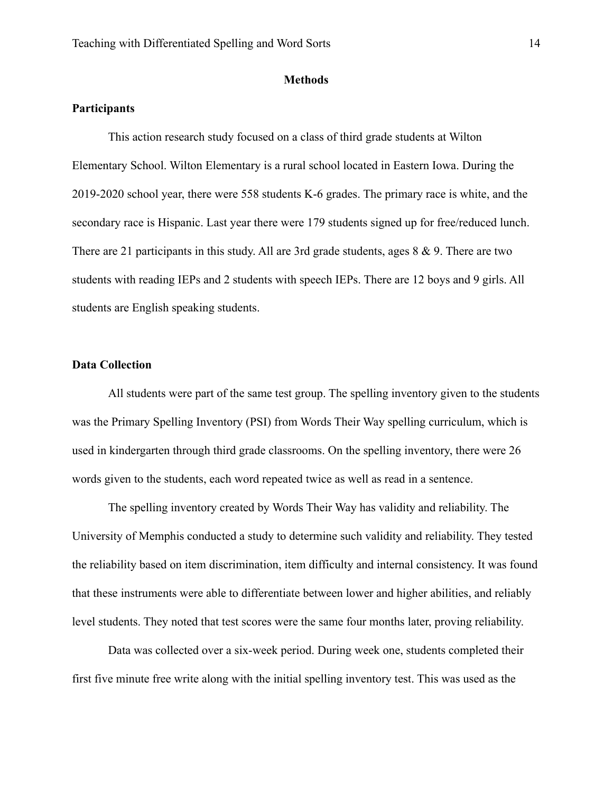#### **Methods**

## <span id="page-14-1"></span><span id="page-14-0"></span>**Participants**

This action research study focused on a class of third grade students at Wilton Elementary School. Wilton Elementary is a rural school located in Eastern Iowa. During the 2019-2020 school year, there were 558 students K-6 grades. The primary race is white, and the secondary race is Hispanic. Last year there were 179 students signed up for free/reduced lunch. There are 21 participants in this study. All are 3rd grade students, ages 8 & 9. There are two students with reading IEPs and 2 students with speech IEPs. There are 12 boys and 9 girls. All students are English speaking students.

## <span id="page-14-2"></span>**Data Collection**

All students were part of the same test group. The spelling inventory given to the students was the Primary Spelling Inventory (PSI) from Words Their Way spelling curriculum, which is used in kindergarten through third grade classrooms. On the spelling inventory, there were 26 words given to the students, each word repeated twice as well as read in a sentence.

The spelling inventory created by Words Their Way has validity and reliability. The University of Memphis conducted a study to determine such validity and reliability. They tested the reliability based on item discrimination, item difficulty and internal consistency. It was found that these instruments were able to differentiate between lower and higher abilities, and reliably level students. They noted that test scores were the same four months later, proving reliability.

Data was collected over a six-week period. During week one, students completed their first five minute free write along with the initial spelling inventory test. This was used as the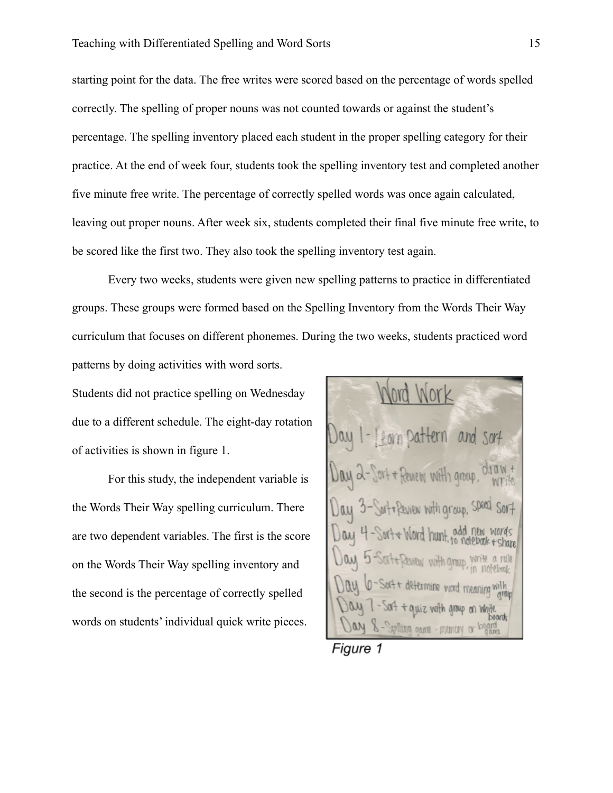starting point for the data. The free writes were scored based on the percentage of words spelled correctly. The spelling of proper nouns was not counted towards or against the student's percentage. The spelling inventory placed each student in the proper spelling category for their practice. At the end of week four, students took the spelling inventory test and completed another five minute free write. The percentage of correctly spelled words was once again calculated, leaving out proper nouns. After week six, students completed their final five minute free write, to be scored like the first two. They also took the spelling inventory test again.

Every two weeks, students were given new spelling patterns to practice in differentiated groups. These groups were formed based on the Spelling Inventory from the Words Their Way curriculum that focuses on different phonemes. During the two weeks, students practiced word patterns by doing activities with word sorts.

Students did not practice spelling on Wednesday due to a different schedule. The eight-day rotation of activities is shown in figure 1.

For this study, the independent variable is the Words Their Way spelling curriculum. There are two dependent variables. The first is the score on the Words Their Way spelling inventory and the second is the percentage of correctly spelled words on students' individual quick write pieces.

Review with group Surfor Review With aroup, Speed Word hunt Wilw with Omun y vomment - membro or

Figure 1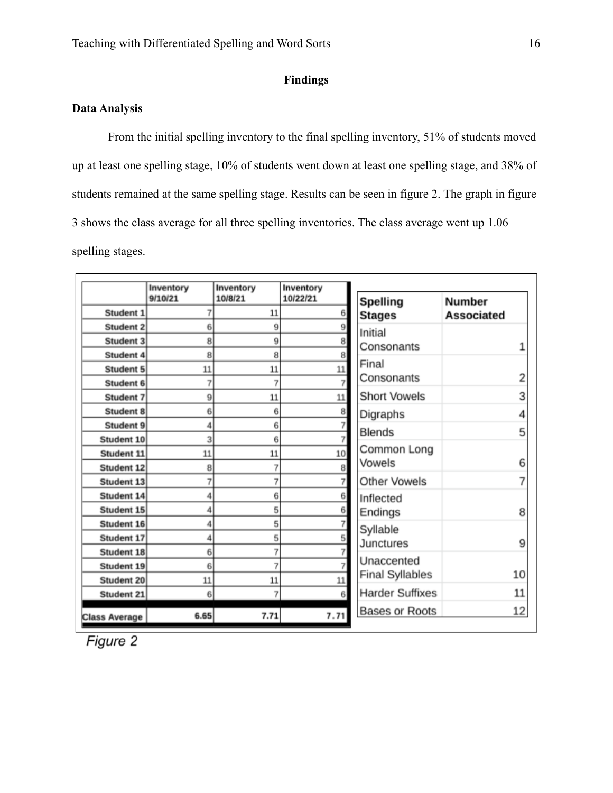## **Findings**

## <span id="page-16-1"></span><span id="page-16-0"></span>**Data Analysis**

From the initial spelling inventory to the final spelling inventory, 51% of students moved up at least one spelling stage, 10% of students went down at least one spelling stage, and 38% of students remained at the same spelling stage. Results can be seen in figure 2. The graph in figure 3 shows the class average for all three spelling inventories. The class average went up 1.06 spelling stages.

|                      | Inventory<br>9/10/21 | Inventory<br>10/8/21 | Inventory<br>10/22/21 | <b>Spelling</b>        | <b>Number</b>     |
|----------------------|----------------------|----------------------|-----------------------|------------------------|-------------------|
| Student 1            |                      | 11                   | 6                     | <b>Stages</b>          | <b>Associated</b> |
| <b>Student 2</b>     | 6                    | 9                    | $\overline{9}$        | Initial                |                   |
| <b>Student 3</b>     | 8                    | 9                    | 8                     | Consonants             |                   |
| Student 4            | 8                    | 8                    | 8                     |                        |                   |
| <b>Student 5</b>     | 11                   | 11                   | $11\,$                | Final                  |                   |
| Student 6            |                      | 7                    | $\overline{7}$        | Consonants             | 2                 |
| <b>Student 7</b>     | 9                    | 11                   | $11\,$                | <b>Short Vowels</b>    | 3                 |
| <b>Student 8</b>     | 6                    | 6                    | 8                     | Digraphs               | 4                 |
| <b>Student 9</b>     |                      | 6                    |                       | <b>Blends</b>          | 5                 |
| Student 10           | 3                    | 6                    | $\overline{7}$        |                        |                   |
| Student 11           | 11                   | 11                   | 10                    | Common Long            |                   |
| <b>Student 12</b>    | 8                    | 7                    | 8                     | Vowels                 | 6                 |
| Student 13           |                      | 7                    | 7                     | <b>Other Vowels</b>    |                   |
| Student 14           | 4                    | 6                    | 6                     | Inflected              |                   |
| Student 15           | Δ                    | 5                    | 6                     | Endings                | 8                 |
| Student 16           | Δ                    | 5                    |                       | Syllable               |                   |
| Student 17           | 4                    | 5                    | 5                     | Junctures              | 9                 |
| <b>Student 18</b>    | 6                    | 7                    |                       |                        |                   |
| Student 19           | 6                    | 7                    |                       | Unaccented             |                   |
| <b>Student 20</b>    | 11                   | 11                   | $11\,$                | <b>Final Syllables</b> | 10                |
| Student 21           | 6                    | 7                    | 6 <sup>1</sup>        | <b>Harder Suffixes</b> | 11                |
| <b>Class Average</b> | 6.65                 | 7.71                 | 7.71                  | <b>Bases or Roots</b>  | 12                |

Figure 2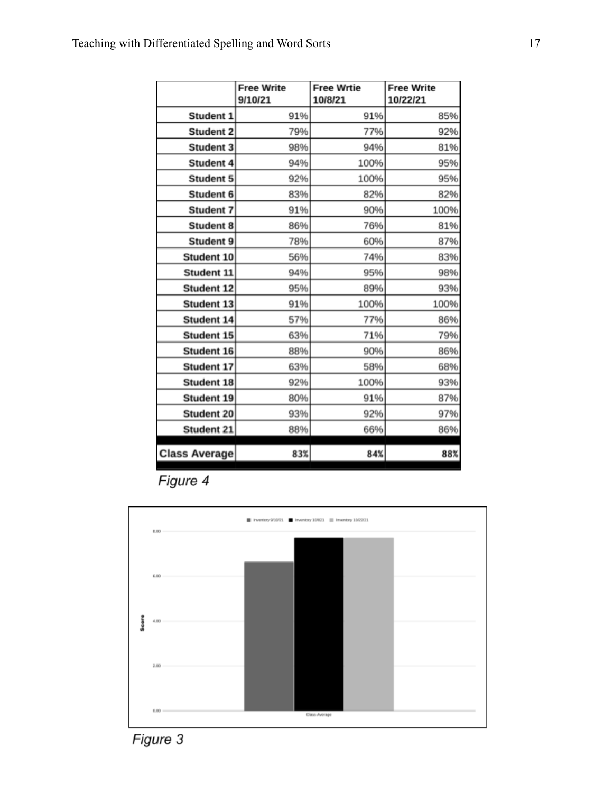|                      | <b>Free Write</b><br>9/10/21 | <b>Free Wrtie</b><br>10/8/21 | <b>Free Write</b><br>10/22/21 |
|----------------------|------------------------------|------------------------------|-------------------------------|
| Student 1            | 91%                          | 91%                          | 85%                           |
| <b>Student 2</b>     | 79%                          | 77%                          | 92%                           |
| <b>Student 3</b>     | 98%                          | 94%                          | 81%                           |
| Student 4            | 94%                          | 100%                         | 95%                           |
| <b>Student 5</b>     | 92%                          | 100%                         | 95%                           |
| Student 6            | 83%                          | 82%                          | 82%                           |
| <b>Student 7</b>     | 91%                          | 90%                          | 100%                          |
| <b>Student 8</b>     | 86%                          | 76%                          | 81%                           |
| <b>Student 9</b>     | 78%                          | 60%                          | 87%                           |
| Student 10           | 56%                          | 74%                          | 83%                           |
| Student 11           | 94%                          | 95%                          | 98%                           |
| <b>Student 12</b>    | 95%                          | 89%                          | 93%                           |
| <b>Student 13</b>    | 91%                          | 100%                         | 100%                          |
| Student 14           | 57%                          | 77%                          | 86%                           |
| Student 15           | 63%                          | 71%                          | 79%                           |
| Student 16           | 88%                          | 90%                          | 86%                           |
| Student 17           | 63%                          | 58%                          | 68%                           |
| <b>Student 18</b>    | 92%                          | 100%                         | 93%                           |
| <b>Student 19</b>    | 80%                          | 91%                          | 87%                           |
| Student 20           | 93%                          | 92%                          | 97%                           |
| Student 21           | 88%                          | 66%                          | 86%                           |
| <b>Class Average</b> | 83%                          | 84%                          | 88%                           |

Figure 4



Figure 3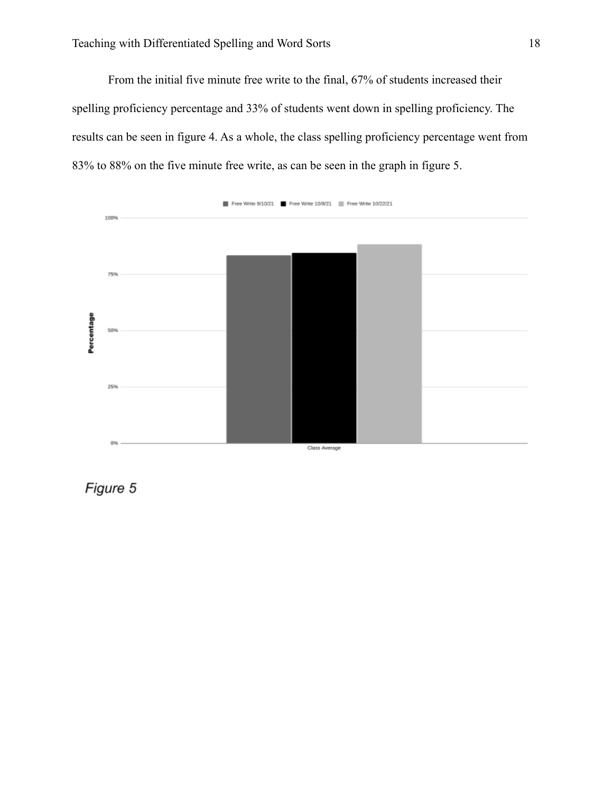From the initial five minute free write to the final, 67% of students increased their spelling proficiency percentage and 33% of students went down in spelling proficiency. The results can be seen in figure 4. As a whole, the class spelling proficiency percentage went from 83% to 88% on the five minute free write, as can be seen in the graph in figure 5.



Figure 5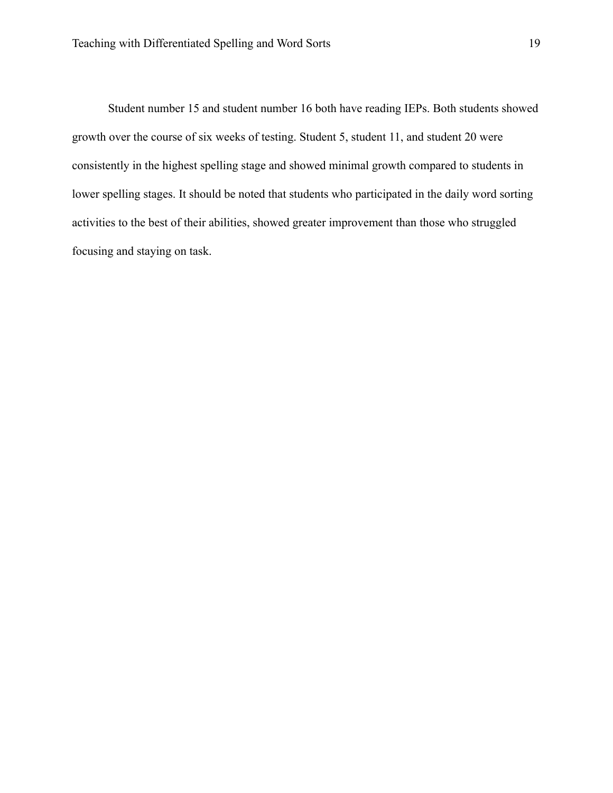Student number 15 and student number 16 both have reading IEPs. Both students showed growth over the course of six weeks of testing. Student 5, student 11, and student 20 were consistently in the highest spelling stage and showed minimal growth compared to students in lower spelling stages. It should be noted that students who participated in the daily word sorting activities to the best of their abilities, showed greater improvement than those who struggled focusing and staying on task.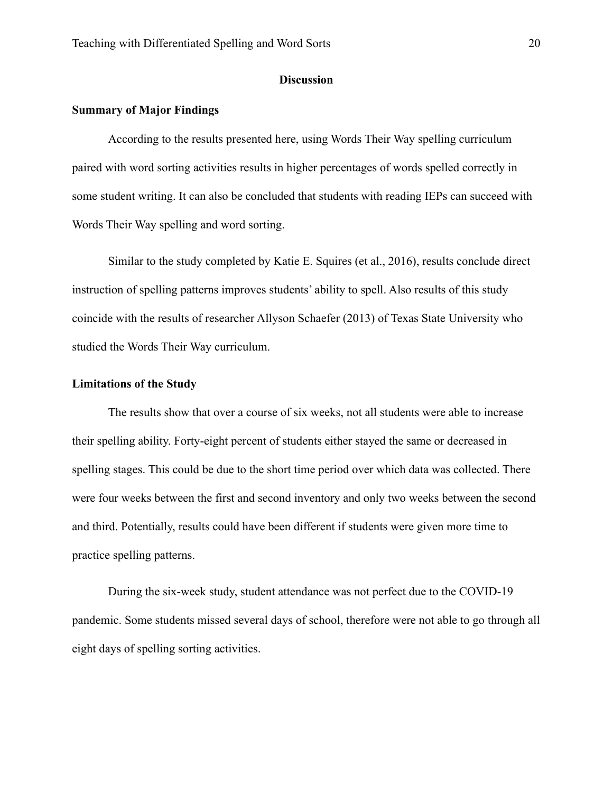### **Discussion**

## <span id="page-20-1"></span><span id="page-20-0"></span>**Summary of Major Findings**

According to the results presented here, using Words Their Way spelling curriculum paired with word sorting activities results in higher percentages of words spelled correctly in some student writing. It can also be concluded that students with reading IEPs can succeed with Words Their Way spelling and word sorting.

Similar to the study completed by Katie E. Squires (et al., 2016), results conclude direct instruction of spelling patterns improves students' ability to spell. Also results of this study coincide with the results of researcher Allyson Schaefer (2013) of Texas State University who studied the Words Their Way curriculum.

#### <span id="page-20-2"></span>**Limitations of the Study**

The results show that over a course of six weeks, not all students were able to increase their spelling ability. Forty-eight percent of students either stayed the same or decreased in spelling stages. This could be due to the short time period over which data was collected. There were four weeks between the first and second inventory and only two weeks between the second and third. Potentially, results could have been different if students were given more time to practice spelling patterns.

During the six-week study, student attendance was not perfect due to the COVID-19 pandemic. Some students missed several days of school, therefore were not able to go through all eight days of spelling sorting activities.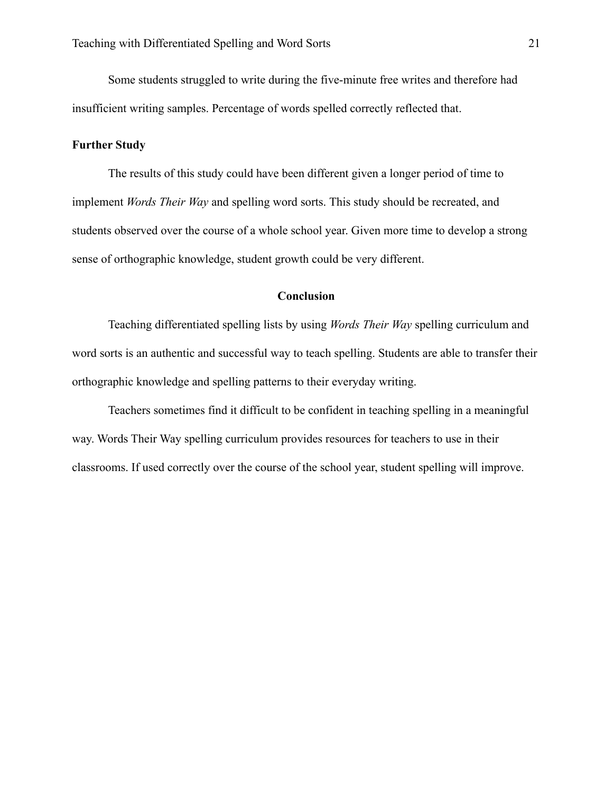Some students struggled to write during the five-minute free writes and therefore had insufficient writing samples. Percentage of words spelled correctly reflected that.

### <span id="page-21-0"></span>**Further Study**

The results of this study could have been different given a longer period of time to implement *Words Their Way* and spelling word sorts. This study should be recreated, and students observed over the course of a whole school year. Given more time to develop a strong sense of orthographic knowledge, student growth could be very different.

#### **Conclusion**

<span id="page-21-1"></span>Teaching differentiated spelling lists by using *Words Their Way* spelling curriculum and word sorts is an authentic and successful way to teach spelling. Students are able to transfer their orthographic knowledge and spelling patterns to their everyday writing.

Teachers sometimes find it difficult to be confident in teaching spelling in a meaningful way. Words Their Way spelling curriculum provides resources for teachers to use in their classrooms. If used correctly over the course of the school year, student spelling will improve.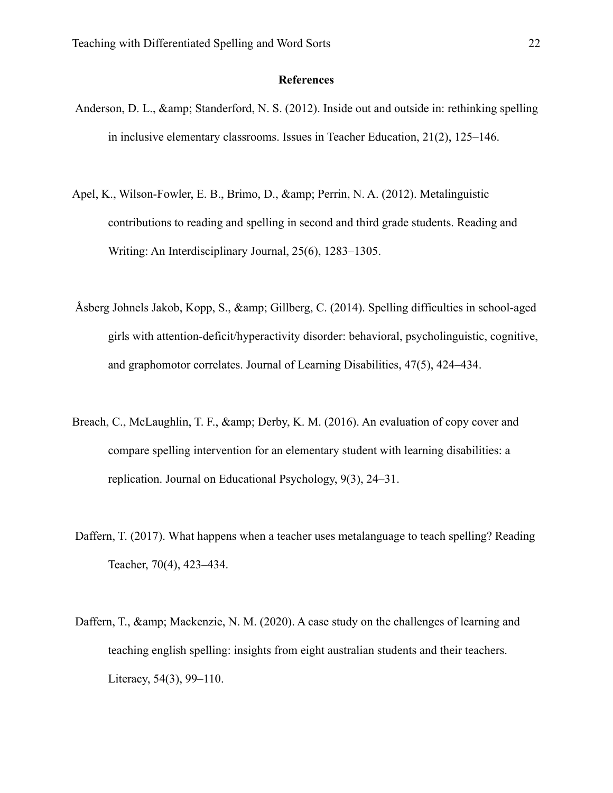## **References**

- Anderson, D. L., & amp; Standerford, N. S. (2012). Inside out and outside in: rethinking spelling in inclusive elementary classrooms. Issues in Teacher Education, 21(2), 125–146.
- Apel, K., Wilson-Fowler, E. B., Brimo, D., & amp; Perrin, N. A. (2012). Metalinguistic contributions to reading and spelling in second and third grade students. Reading and Writing: An Interdisciplinary Journal, 25(6), 1283–1305.
- Åsberg Johnels Jakob, Kopp, S.,  $\&$ amp; Gillberg, C. (2014). Spelling difficulties in school-aged girls with attention-deficit/hyperactivity disorder: behavioral, psycholinguistic, cognitive, and graphomotor correlates. Journal of Learning Disabilities, 47(5), 424–434.
- Breach, C., McLaughlin, T. F.,  $\&$ amp; Derby, K. M. (2016). An evaluation of copy cover and compare spelling intervention for an elementary student with learning disabilities: a replication. Journal on Educational Psychology, 9(3), 24–31.
- Daffern, T. (2017). What happens when a teacher uses metalanguage to teach spelling? Reading Teacher, 70(4), 423–434.
- Daffern, T., & amp; Mackenzie, N. M. (2020). A case study on the challenges of learning and teaching english spelling: insights from eight australian students and their teachers. Literacy, 54(3), 99–110.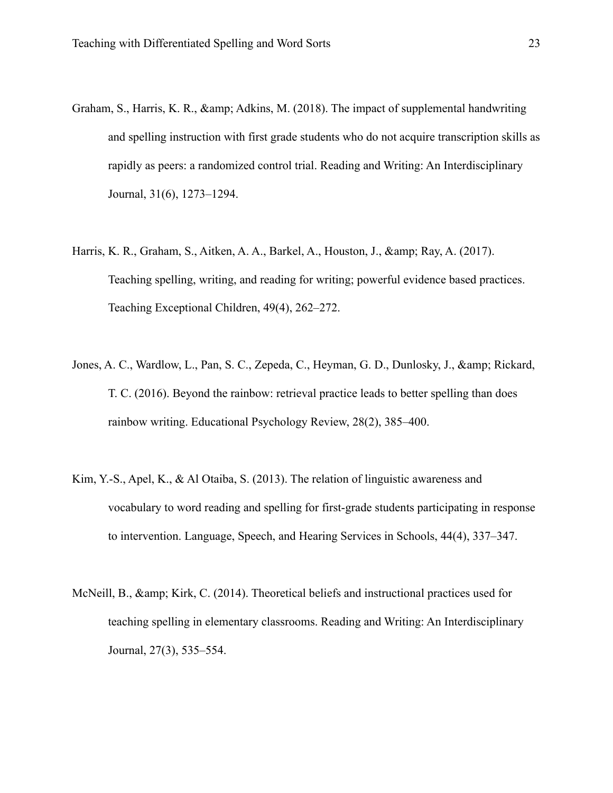- Graham, S., Harris, K. R., & amp; Adkins, M. (2018). The impact of supplemental handwriting and spelling instruction with first grade students who do not acquire transcription skills as rapidly as peers: a randomized control trial. Reading and Writing: An Interdisciplinary Journal, 31(6), 1273–1294.
- Harris, K. R., Graham, S., Aitken, A. A., Barkel, A., Houston, J., & amp; Ray, A. (2017). Teaching spelling, writing, and reading for writing; powerful evidence based practices. Teaching Exceptional Children, 49(4), 262–272.
- Jones, A. C., Wardlow, L., Pan, S. C., Zepeda, C., Heyman, G. D., Dunlosky, J., & amp; Rickard, T. C. (2016). Beyond the rainbow: retrieval practice leads to better spelling than does rainbow writing. Educational Psychology Review, 28(2), 385–400.
- Kim, Y.-S., Apel, K., & Al Otaiba, S. (2013). The relation of linguistic awareness and vocabulary to word reading and spelling for first-grade students participating in response to intervention. Language, Speech, and Hearing Services in Schools, 44(4), 337–347.
- McNeill, B., & amp; Kirk, C. (2014). Theoretical beliefs and instructional practices used for teaching spelling in elementary classrooms. Reading and Writing: An Interdisciplinary Journal, 27(3), 535–554.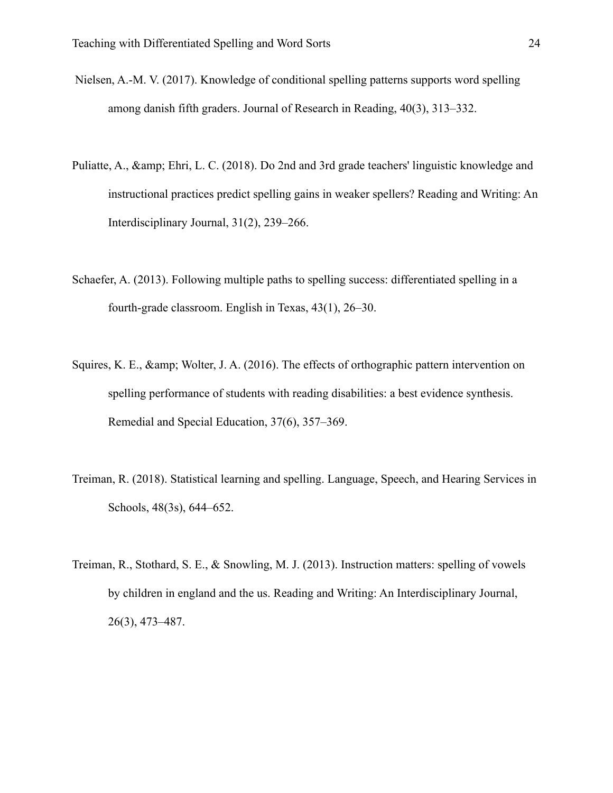- Nielsen, A.-M. V. (2017). Knowledge of conditional spelling patterns supports word spelling among danish fifth graders. Journal of Research in Reading, 40(3), 313–332.
- Puliatte, A., & amp; Ehri, L. C. (2018). Do 2nd and 3rd grade teachers' linguistic knowledge and instructional practices predict spelling gains in weaker spellers? Reading and Writing: An Interdisciplinary Journal, 31(2), 239–266.
- Schaefer, A. (2013). Following multiple paths to spelling success: differentiated spelling in a fourth-grade classroom. English in Texas, 43(1), 26–30.
- Squires, K. E., & amp; Wolter, J. A. (2016). The effects of orthographic pattern intervention on spelling performance of students with reading disabilities: a best evidence synthesis. Remedial and Special Education, 37(6), 357–369.
- Treiman, R. (2018). Statistical learning and spelling. Language, Speech, and Hearing Services in Schools, 48(3s), 644–652.
- Treiman, R., Stothard, S. E., & Snowling, M. J. (2013). Instruction matters: spelling of vowels by children in england and the us. Reading and Writing: An Interdisciplinary Journal, 26(3), 473–487.